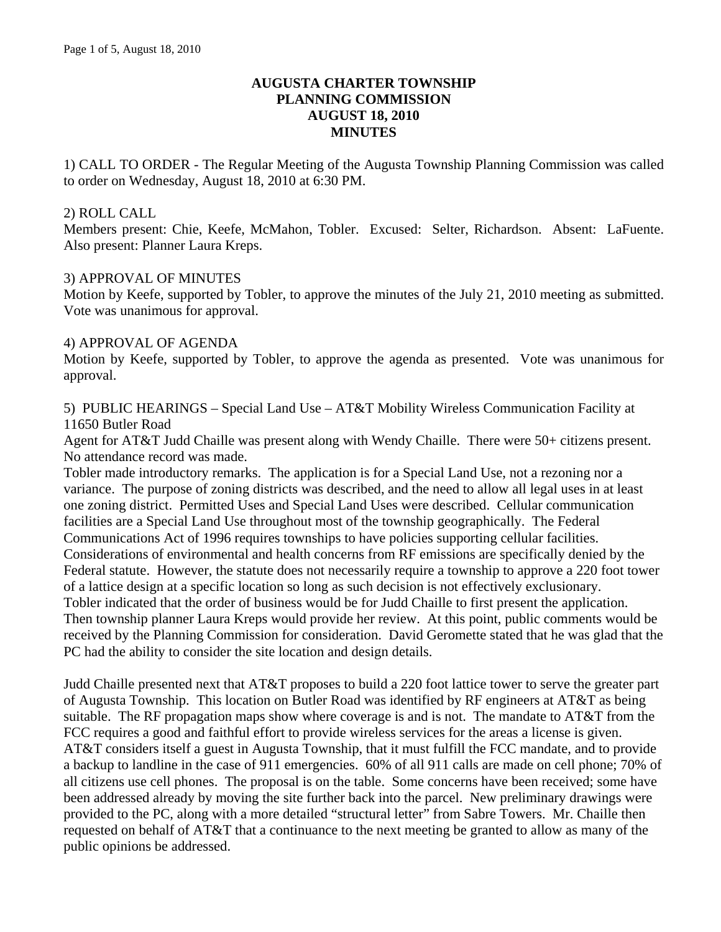# **AUGUSTA CHARTER TOWNSHIP PLANNING COMMISSION AUGUST 18, 2010 MINUTES**

1) CALL TO ORDER - The Regular Meeting of the Augusta Township Planning Commission was called to order on Wednesday, August 18, 2010 at 6:30 PM.

#### 2) ROLL CALL

Members present: Chie, Keefe, McMahon, Tobler. Excused: Selter, Richardson. Absent: LaFuente. Also present: Planner Laura Kreps.

# 3) APPROVAL OF MINUTES

Motion by Keefe, supported by Tobler, to approve the minutes of the July 21, 2010 meeting as submitted. Vote was unanimous for approval.

# 4) APPROVAL OF AGENDA

Motion by Keefe, supported by Tobler, to approve the agenda as presented. Vote was unanimous for approval.

5) PUBLIC HEARINGS – Special Land Use – AT&T Mobility Wireless Communication Facility at 11650 Butler Road

Agent for AT&T Judd Chaille was present along with Wendy Chaille. There were 50+ citizens present. No attendance record was made.

Tobler made introductory remarks. The application is for a Special Land Use, not a rezoning nor a variance. The purpose of zoning districts was described, and the need to allow all legal uses in at least one zoning district. Permitted Uses and Special Land Uses were described. Cellular communication facilities are a Special Land Use throughout most of the township geographically. The Federal Communications Act of 1996 requires townships to have policies supporting cellular facilities. Considerations of environmental and health concerns from RF emissions are specifically denied by the Federal statute. However, the statute does not necessarily require a township to approve a 220 foot tower of a lattice design at a specific location so long as such decision is not effectively exclusionary. Tobler indicated that the order of business would be for Judd Chaille to first present the application. Then township planner Laura Kreps would provide her review. At this point, public comments would be received by the Planning Commission for consideration. David Geromette stated that he was glad that the PC had the ability to consider the site location and design details.

Judd Chaille presented next that AT&T proposes to build a 220 foot lattice tower to serve the greater part of Augusta Township. This location on Butler Road was identified by RF engineers at AT&T as being suitable. The RF propagation maps show where coverage is and is not. The mandate to AT&T from the FCC requires a good and faithful effort to provide wireless services for the areas a license is given. AT&T considers itself a guest in Augusta Township, that it must fulfill the FCC mandate, and to provide a backup to landline in the case of 911 emergencies. 60% of all 911 calls are made on cell phone; 70% of all citizens use cell phones. The proposal is on the table. Some concerns have been received; some have been addressed already by moving the site further back into the parcel. New preliminary drawings were provided to the PC, along with a more detailed "structural letter" from Sabre Towers. Mr. Chaille then requested on behalf of AT&T that a continuance to the next meeting be granted to allow as many of the public opinions be addressed.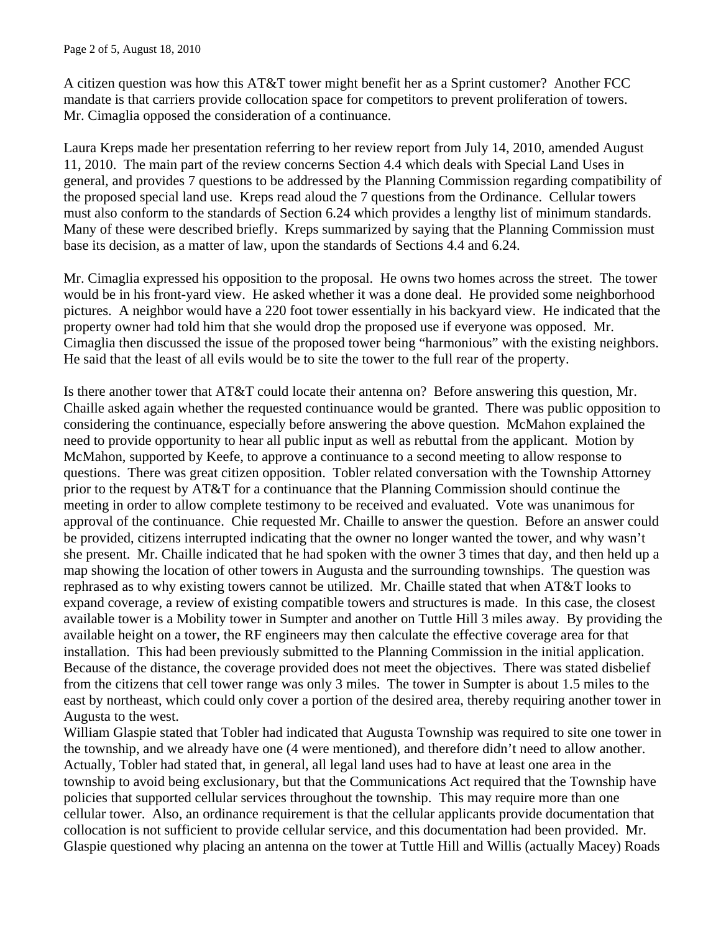A citizen question was how this AT&T tower might benefit her as a Sprint customer? Another FCC mandate is that carriers provide collocation space for competitors to prevent proliferation of towers. Mr. Cimaglia opposed the consideration of a continuance.

Laura Kreps made her presentation referring to her review report from July 14, 2010, amended August 11, 2010. The main part of the review concerns Section 4.4 which deals with Special Land Uses in general, and provides 7 questions to be addressed by the Planning Commission regarding compatibility of the proposed special land use. Kreps read aloud the 7 questions from the Ordinance. Cellular towers must also conform to the standards of Section 6.24 which provides a lengthy list of minimum standards. Many of these were described briefly. Kreps summarized by saying that the Planning Commission must base its decision, as a matter of law, upon the standards of Sections 4.4 and 6.24.

Mr. Cimaglia expressed his opposition to the proposal. He owns two homes across the street. The tower would be in his front-yard view. He asked whether it was a done deal. He provided some neighborhood pictures. A neighbor would have a 220 foot tower essentially in his backyard view. He indicated that the property owner had told him that she would drop the proposed use if everyone was opposed. Mr. Cimaglia then discussed the issue of the proposed tower being "harmonious" with the existing neighbors. He said that the least of all evils would be to site the tower to the full rear of the property.

Is there another tower that AT&T could locate their antenna on? Before answering this question, Mr. Chaille asked again whether the requested continuance would be granted. There was public opposition to considering the continuance, especially before answering the above question. McMahon explained the need to provide opportunity to hear all public input as well as rebuttal from the applicant. Motion by McMahon, supported by Keefe, to approve a continuance to a second meeting to allow response to questions. There was great citizen opposition. Tobler related conversation with the Township Attorney prior to the request by AT&T for a continuance that the Planning Commission should continue the meeting in order to allow complete testimony to be received and evaluated. Vote was unanimous for approval of the continuance. Chie requested Mr. Chaille to answer the question. Before an answer could be provided, citizens interrupted indicating that the owner no longer wanted the tower, and why wasn't she present. Mr. Chaille indicated that he had spoken with the owner 3 times that day, and then held up a map showing the location of other towers in Augusta and the surrounding townships. The question was rephrased as to why existing towers cannot be utilized. Mr. Chaille stated that when AT&T looks to expand coverage, a review of existing compatible towers and structures is made. In this case, the closest available tower is a Mobility tower in Sumpter and another on Tuttle Hill 3 miles away. By providing the available height on a tower, the RF engineers may then calculate the effective coverage area for that installation. This had been previously submitted to the Planning Commission in the initial application. Because of the distance, the coverage provided does not meet the objectives. There was stated disbelief from the citizens that cell tower range was only 3 miles. The tower in Sumpter is about 1.5 miles to the east by northeast, which could only cover a portion of the desired area, thereby requiring another tower in Augusta to the west.

William Glaspie stated that Tobler had indicated that Augusta Township was required to site one tower in the township, and we already have one (4 were mentioned), and therefore didn't need to allow another. Actually, Tobler had stated that, in general, all legal land uses had to have at least one area in the township to avoid being exclusionary, but that the Communications Act required that the Township have policies that supported cellular services throughout the township. This may require more than one cellular tower. Also, an ordinance requirement is that the cellular applicants provide documentation that collocation is not sufficient to provide cellular service, and this documentation had been provided. Mr. Glaspie questioned why placing an antenna on the tower at Tuttle Hill and Willis (actually Macey) Roads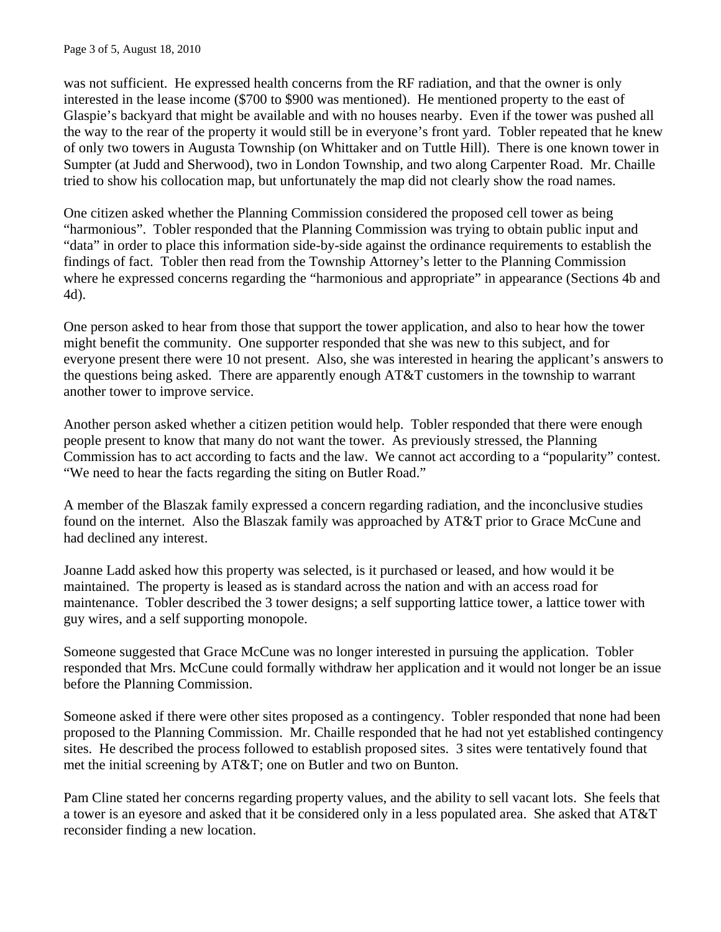was not sufficient. He expressed health concerns from the RF radiation, and that the owner is only interested in the lease income (\$700 to \$900 was mentioned). He mentioned property to the east of Glaspie's backyard that might be available and with no houses nearby. Even if the tower was pushed all the way to the rear of the property it would still be in everyone's front yard. Tobler repeated that he knew of only two towers in Augusta Township (on Whittaker and on Tuttle Hill). There is one known tower in Sumpter (at Judd and Sherwood), two in London Township, and two along Carpenter Road. Mr. Chaille tried to show his collocation map, but unfortunately the map did not clearly show the road names.

One citizen asked whether the Planning Commission considered the proposed cell tower as being "harmonious". Tobler responded that the Planning Commission was trying to obtain public input and "data" in order to place this information side-by-side against the ordinance requirements to establish the findings of fact. Tobler then read from the Township Attorney's letter to the Planning Commission where he expressed concerns regarding the "harmonious and appropriate" in appearance (Sections 4b and 4d).

One person asked to hear from those that support the tower application, and also to hear how the tower might benefit the community. One supporter responded that she was new to this subject, and for everyone present there were 10 not present. Also, she was interested in hearing the applicant's answers to the questions being asked. There are apparently enough AT&T customers in the township to warrant another tower to improve service.

Another person asked whether a citizen petition would help. Tobler responded that there were enough people present to know that many do not want the tower. As previously stressed, the Planning Commission has to act according to facts and the law. We cannot act according to a "popularity" contest. "We need to hear the facts regarding the siting on Butler Road."

A member of the Blaszak family expressed a concern regarding radiation, and the inconclusive studies found on the internet. Also the Blaszak family was approached by AT&T prior to Grace McCune and had declined any interest.

Joanne Ladd asked how this property was selected, is it purchased or leased, and how would it be maintained. The property is leased as is standard across the nation and with an access road for maintenance. Tobler described the 3 tower designs; a self supporting lattice tower, a lattice tower with guy wires, and a self supporting monopole.

Someone suggested that Grace McCune was no longer interested in pursuing the application. Tobler responded that Mrs. McCune could formally withdraw her application and it would not longer be an issue before the Planning Commission.

Someone asked if there were other sites proposed as a contingency. Tobler responded that none had been proposed to the Planning Commission. Mr. Chaille responded that he had not yet established contingency sites. He described the process followed to establish proposed sites. 3 sites were tentatively found that met the initial screening by AT&T; one on Butler and two on Bunton.

Pam Cline stated her concerns regarding property values, and the ability to sell vacant lots. She feels that a tower is an eyesore and asked that it be considered only in a less populated area. She asked that AT&T reconsider finding a new location.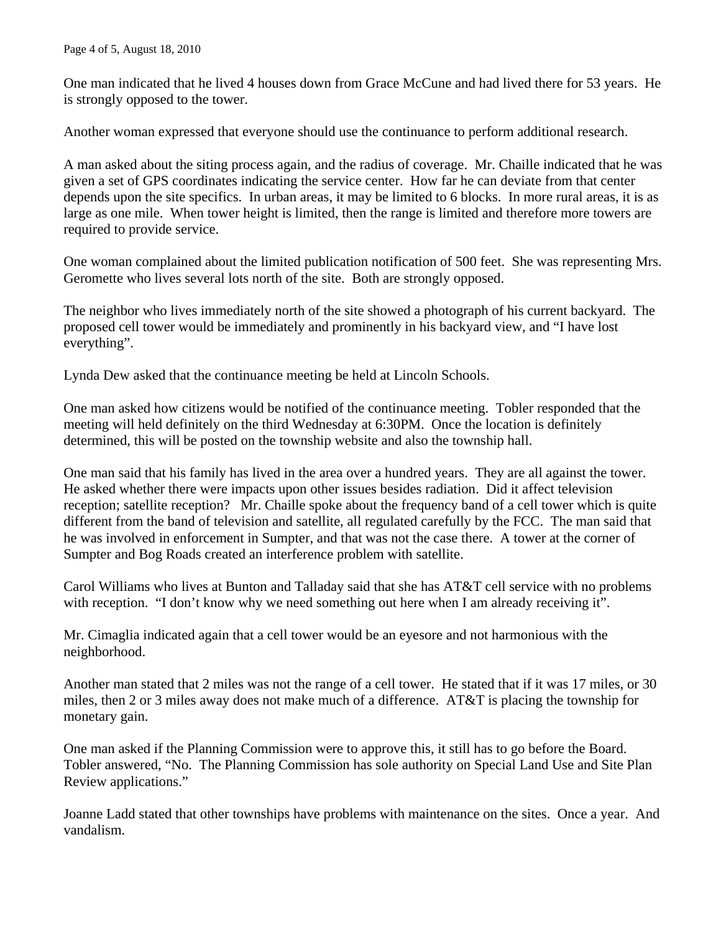One man indicated that he lived 4 houses down from Grace McCune and had lived there for 53 years. He is strongly opposed to the tower.

Another woman expressed that everyone should use the continuance to perform additional research.

A man asked about the siting process again, and the radius of coverage. Mr. Chaille indicated that he was given a set of GPS coordinates indicating the service center. How far he can deviate from that center depends upon the site specifics. In urban areas, it may be limited to 6 blocks. In more rural areas, it is as large as one mile. When tower height is limited, then the range is limited and therefore more towers are required to provide service.

One woman complained about the limited publication notification of 500 feet. She was representing Mrs. Geromette who lives several lots north of the site. Both are strongly opposed.

The neighbor who lives immediately north of the site showed a photograph of his current backyard. The proposed cell tower would be immediately and prominently in his backyard view, and "I have lost everything".

Lynda Dew asked that the continuance meeting be held at Lincoln Schools.

One man asked how citizens would be notified of the continuance meeting. Tobler responded that the meeting will held definitely on the third Wednesday at 6:30PM. Once the location is definitely determined, this will be posted on the township website and also the township hall.

One man said that his family has lived in the area over a hundred years. They are all against the tower. He asked whether there were impacts upon other issues besides radiation. Did it affect television reception; satellite reception? Mr. Chaille spoke about the frequency band of a cell tower which is quite different from the band of television and satellite, all regulated carefully by the FCC. The man said that he was involved in enforcement in Sumpter, and that was not the case there. A tower at the corner of Sumpter and Bog Roads created an interference problem with satellite.

Carol Williams who lives at Bunton and Talladay said that she has AT&T cell service with no problems with reception. "I don't know why we need something out here when I am already receiving it".

Mr. Cimaglia indicated again that a cell tower would be an eyesore and not harmonious with the neighborhood.

Another man stated that 2 miles was not the range of a cell tower. He stated that if it was 17 miles, or 30 miles, then 2 or 3 miles away does not make much of a difference. AT&T is placing the township for monetary gain.

One man asked if the Planning Commission were to approve this, it still has to go before the Board. Tobler answered, "No. The Planning Commission has sole authority on Special Land Use and Site Plan Review applications."

Joanne Ladd stated that other townships have problems with maintenance on the sites. Once a year. And vandalism.